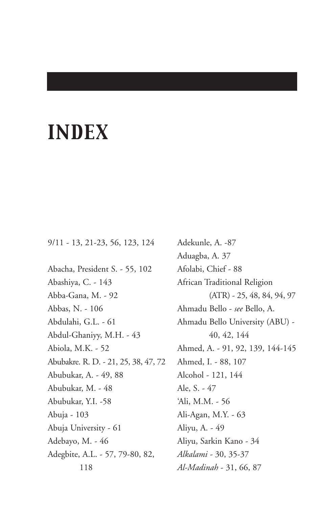# *INDEX*

9/11 - 13, 21-23, 56, 123, 124

Abacha, President S. - 55, 102 Abashiya, C. - 143 Abba-Gana, M. - 92 Abbas, N. - 106 Abdulahi, G.L. - 61 Abdul-Ghaniyy, M.H. - 43 Abiola, M.K. - 52 Abubakre. R. D. - 21, 25, 38, 47, 72 Abubukar, A. - 49, 88 Abubukar, M. - 48 Abubukar, Y.I. -58 Abuja - 103 Abuja University - 61 Adebayo, M. - 46 Adegbite, A.L. - 57, 79-80, 82, 118

Adekunle, A. -87 Aduagba, A. 37 Afolabi, Chief - 88 African Traditional Religion (ATR) - 25, 48, 84, 94, 97 Ahmadu Bello - *see* Bello, A. Ahmadu Bello University (ABU) - 40, 42, 144 Ahmed, A. - 91, 92, 139, 144-145 Ahmed, I. - 88, 107 Alcohol - 121, 144 Ale, S. - 47 'Ali, M.M. - 56 Ali-Agan, M.Y. - 63 Aliyu, A. - 49 Aliyu, Sarkin Kano - 34 *Alkalami -* 30, 35-37 *Al-Madinah* - 31, 66, 87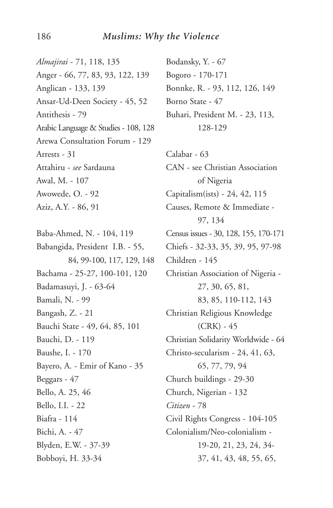*Almajirai* - 71, 118, 135 Anger - 66, 77, 83, 93, 122, 139 Anglican - 133, 139 Ansar-Ud-Deen Society - 45, 52 Antithesis - 79 Arabic Language & Studies - 108, 128 Arewa Consultation Forum - 129 Arrests - 31 Attahiru - *see* Sardauna Awal, M. - 107 Awowede, O. - 92 Aziz, A.Y. - 86, 91

Baba-Ahmed, N. - 104, 119 Babangida, President I.B. - 55, 84, 99-100, 117, 129, 148 Bachama - 25-27, 100-101, 120 Badamasuyi, J. - 63-64 Bamali, N. - 99 Bangash, Z. - 21 Bauchi State - 49, 64, 85, 101 Bauchi, D. - 119 Baushe, I. - 170 Bayero, A. - Emir of Kano - 35 Beggars - 47 Bello, A. 25, 46 Bello, I.I. - 22 Biafra - 114 Bichi, A. - 47 Blyden, E.W. - 37-39 Bobboyi, H. 33-34

Bodansky, Y. - 67 Bogoro - 170-171 Bonnke, R. - 93, 112, 126, 149 Borno State - 47 Buhari, President M. - 23, 113, 128-129

Calabar - 63 CAN - see Christian Association of Nigeria Capitalism(ists) - 24, 42, 115 Causes, Remote & Immediate - 97, 134 Census issues - 30, 128, 155, 170-171 Chiefs - 32-33, 35, 39, 95, 97-98 Children - 145 Christian Association of Nigeria - 27, 30, 65, 81, 83, 85, 110-112, 143 Christian Religious Knowledge (CRK) - 45 Christian Solidarity Worldwide - 64 Christo-secularism - 24, 41, 63, 65, 77, 79, 94 Church buildings - 29-30 Church, Nigerian - 132 *Citizen* - 78 Civil Rights Congress - 104-105 Colonialism/Neo-colonialism - 19-20, 21, 23, 24, 34- 37, 41, 43, 48, 55, 65,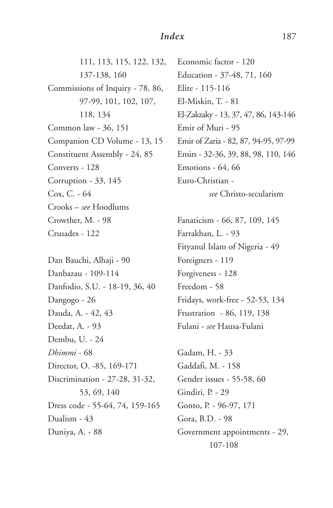111, 113, 115, 122, 132, 137-138, 160 Commissions of Inquiry - 78, 86, 97-99, 101, 102, 107, 118, 134 Common law - 36, 151 Companion CD Volume - 13, 15 Constituent Assembly - 24, 85 Converts - 128 Corruption - 33, 145 Cox, C. - 64 Crooks – *see* Hoodlums Crowther, M. - 98 Crusades - 122

Dan Bauchi, Alhaji - 90 Danbazau - 109-114 Danfodio, S.U. - 18-19, 36, 40 Dangogo - 26 Dauda, A. - 42, 43 Deedat, A. - 93 Dembu, U. - 24 *Dhimmi* - 68 Director, O. -85, 169-171 Discrimination - 27-28, 31-32, 53, 69, 140 Dress code - 55-64, 74, 159-165 Dualism - 43 Duniya, A. - 88

Economic factor - 120 Education - 37-48, 71, 160 Elite - 115-116 El-Miskin, T. - 81 El-Zakzaky - 13, 37, 47, 86, 143-146 Emir of Muri - 95 Emir of Zaria - 82, 87, 94-95, 97-99 Emirs - 32-36, 39, 88, 98, 110, 146 Emotions - 64, 66 Euro-Christian *see* Christo-secularism

Fanaticism - 66, 87, 109, 145 Farrakhan, L. - 93 Fityanul Islam of Nigeria - 49 Foreigners - 119 Forgiveness - 128 Freedom - 58 Fridays, work-free - 52-53, 134 Frustration - 86, 119, 138 Fulani - *see* Hausa-Fulani

Gadam, H. - 33 Gaddafi, M. - 158 Gender issues - 55-58, 60 Gindiri, P. - 29 Gonto, P. - 96-97, 171 Gora, B.D. - 98 Government appointments - 29, 107-108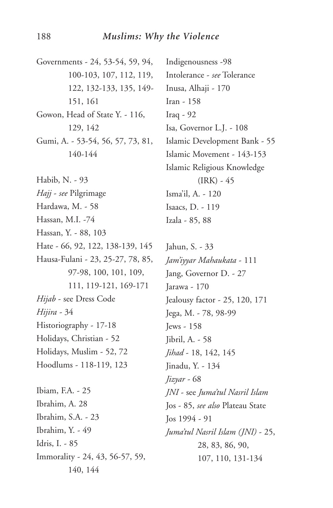Governments - 24, 53-54, 59, 94, 100-103, 107, 112, 119, 122, 132-133, 135, 149- 151, 161 Gowon, Head of State Y. - 116, 129, 142 Gumi, A. - 53-54, 56, 57, 73, 81, 140-144 Habib, N. - 93 *Hajj* - *see* Pilgrimage Hardawa, M. - 58 Hassan, M.I. -74 Hassan, Y. - 88, 103 Hate - 66, 92, 122, 138-139, 145 Hausa-Fulani - 23, 25-27, 78, 85, 97-98, 100, 101, 109, 111, 119-121, 169-171 *Hijab* - see Dress Code *Hijira -* 34 Historiography - 17-18 Holidays, Christian - 52 Holidays, Muslim - 52, 72 Hoodlums - 118-119, 123 Ibiam, F.A. - 25 Ibrahim, A. 28 Ibrahim, S.A. - 23 Ibrahim, Y. - 49 Idris, I. - 85 Immorality - 24, 43, 56-57, 59, 140, 144

Indigenousness -98 Intolerance - *see* Tolerance Inusa, Alhaji - 170 Iran - 158 Iraq - 92 Isa, Governor L.J. - 108 Islamic Development Bank - 55 Islamic Movement - 143-153 Islamic Religious Knowledge  $(IRK) - 45$ Isma'il, A. - 120 Isaacs, D. - 119

Izala - 85, 88

Jahun, S. - 33 *Jam'iyyar Mahaukata* - 111 Jang, Governor D. - 27 Jarawa - 170 Jealousy factor - 25, 120, 171 Jega, M. - 78, 98-99 Jews - 158 Jibril, A. - 58 *Jihad* - 18, 142, 145 Jinadu, Y. - 134 *Jizyar -* 68 *JNI* - see *Juma'tul Nasril Islam* Jos - 85, *see also* Plateau State Jos 1994 - 91 *Juma'tul Nasril Islam (JNI)* - 25, 28, 83, 86, 90, 107, 110, 131-134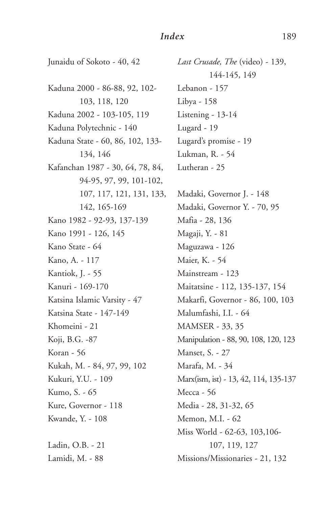### *Index* 189

Junaidu of Sokoto - 40, 42 Kaduna 2000 - 86-88, 92, 102- 103, 118, 120 Kaduna 2002 - 103-105, 119 Kaduna Polytechnic - 140 Kaduna State - 60, 86, 102, 133- 134, 146 Kafanchan 1987 - 30, 64, 78, 84, 94-95, 97, 99, 101-102, 107, 117, 121, 131, 133, 142, 165-169 Kano 1982 - 92-93, 137-139 Kano 1991 - 126, 145 Kano State - 64 Kano, A. - 117 Kantiok, J. - 55 Kanuri - 169-170 Katsina Islamic Varsity - 47 Katsina State - 147-149 Khomeini - 21 Koji, B.G. -87 Koran - 56 Kukah, M. - 84, 97, 99, 102 Kukuri, Y.U. - 109 Kumo, S. - 65 Kure, Governor - 118 Kwande, Y. - 108 Ladin, O.B. - 21 Lamidi, M. - 88

*Last Crusade, The* (video) - 139, 144-145, 149 Lebanon - 157 Libya - 158 Listening - 13-14 Lugard - 19 Lugard's promise - 19 Lukman, R. - 54 Lutheran - 25

Madaki, Governor J. - 148 Madaki, Governor Y. - 70, 95 Mafia - 28, 136 Magaji, Y. - 81 Maguzawa - 126 Maier, K. - 54 Mainstream - 123 Maitatsine - 112, 135-137, 154 Makarfi, Governor - 86, 100, 103 Malumfashi, I.I. - 64 MAMSER - 33, 35 Manipulation - 88, 90, 108, 120, 123 Manset, S. - 27 Marafa, M. - 34 Marx(ism, ist) - 13, 42, 114, 135-137 Mecca - 56 Media - 28, 31-32, 65 Memon, M.I. - 62 Miss World - 62-63, 103,106- 107, 119, 127 Missions/Missionaries - 21, 132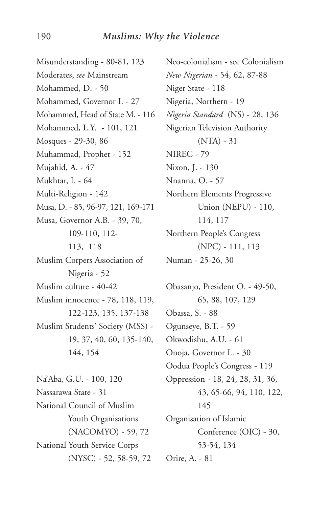#### 190 *Muslims: Why the Violence*

Misunderstanding - 80-81, 123 Moderates, *see* Mainstream Mohammed, D. - 50 Mohammed, Governor I. - 27 Mohammed, Head of State M. - 116 Mohammed, L.Y. - 101, 121 Mosques - 29-30, 86 Muhammad, Prophet - 152 Mujahid, A. - 47 Mukhtar, I. - 64 Multi-Religion - 142 Musa, D. - 85, 96-97, 121, 169-171 Musa, Governor A.B. - 39, 70, 109-110, 112- 113, 118 Muslim Corpers Association of Nigeria - 52 Muslim culture - 40-42 Muslim innocence - 78, 118, 119, 122-123, 135, 137-138 Muslim Students' Society (MSS) - 19, 37, 40, 60, 135-140, 144, 154 Na'Aba, G.U. - 100, 120 Nassarawa State - 31 National Council of Muslim Youth Organisations (NACOMYO) - 59, 72 National Youth Service Corps (NYSC) - 52, 58-59, 72

Neo-colonialism - see Colonialism *New Nigerian* - 54, 62, 87-88 Niger State - 118 Nigeria, Northern - 19 *Nigeria Standard* (NS) - 28, 136 Nigerian Television Authority (NTA) - 31 NIREC - 79 Nixon, J. - 130 Nnanna, O. - 57 Northern Elements Progressive Union (NEPU) - 110, 114, 117 Northern People's Congress (NPC) - 111, 113 Numan - 25-26, 30

Obasanjo, President O. - 49-50, 65, 88, 107, 129 Obassa, S. - 88 Ogunseye, B.T. - 59 Okwodishu, A.U. - 61 Onoja, Governor L. - 30 Oodua People's Congress - 119 Oppression - 18, 24, 28, 31, 36, 43, 65-66, 94, 110, 122, 145 Organisation of Islamic Conference (OIC) - 30, 53-54, 134 Orire, A. - 81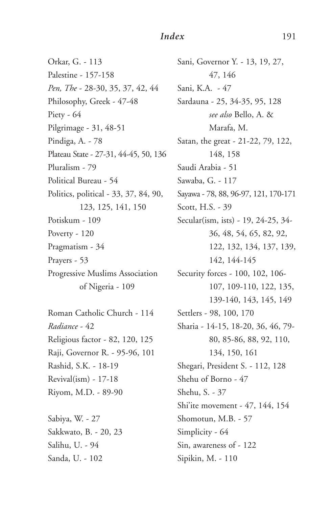#### *Index* 191

Orkar, G. - 113 Palestine - 157-158 *Pen, The* - 28-30, 35, 37, 42, 44 Philosophy, Greek - 47-48 Piety - 64 Pilgrimage - 31, 48-51 Pindiga, A. - 78 Plateau State - 27-31, 44-45, 50, 136 Pluralism - 79 Political Bureau - 54 Politics, political - 33, 37, 84, 90, 123, 125, 141, 150 Potiskum - 109 Poverty - 120 Pragmatism - 34 Prayers - 53 Progressive Muslims Association of Nigeria - 109

Roman Catholic Church - 114 *Radiance* - 42 Religious factor - 82, 120, 125 Raji, Governor R. - 95-96, 101 Rashid, S.K. - 18-19 Revival(ism) - 17-18 Riyom, M.D. - 89-90

Sabiya, W. - 27 Sakkwato, B. - 20, 23 Salihu, U. - 94 Sanda, U. - 102

Sani, Governor Y. - 13, 19, 27, 47, 146 Sani, K.A. - 47 Sardauna - 25, 34-35, 95, 128 *see also* Bello, A. & Marafa, M. Satan, the great - 21-22, 79, 122, 148, 158 Saudi Arabia - 51 Sawaba, G. - 117 Sayawa - 78, 88, 96-97, 121, 170-171 Scott, H.S. - 39 Secular(ism, ists) - 19, 24-25, 34- 36, 48, 54, 65, 82, 92, 122, 132, 134, 137, 139, 142, 144-145 Security forces - 100, 102, 106- 107, 109-110, 122, 135, 139-140, 143, 145, 149 Settlers - 98, 100, 170 Sharia - 14-15, 18-20, 36, 46, 79- 80, 85-86, 88, 92, 110, 134, 150, 161 Shegari, President S. - 112, 128 Shehu of Borno - 47 Shehu, S. - 37 Shi'ite movement - 47, 144, 154 Shomotun, M.B. - 57 Simplicity - 64 Sin, awareness of - 122 Sipikin, M. - 110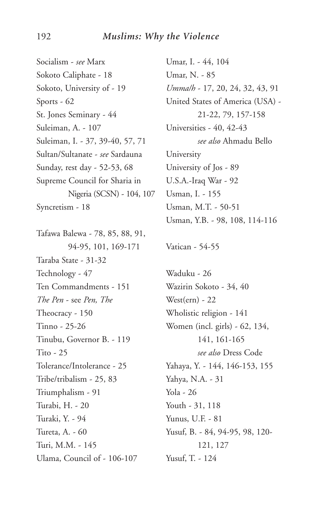Socialism - *see* Marx Sokoto Caliphate - 18 Sokoto, University of - 19 Sports - 62 St. Jones Seminary - 44 Suleiman, A. - 107 Suleiman, I. - 37, 39-40, 57, 71 Sultan/Sultanate - *see* Sardauna Sunday, rest day - 52-53, 68 Supreme Council for Sharia in Nigeria (SCSN) - 104, 107 Syncretism - 18

Tafawa Balewa - 78, 85, 88, 91, 94-95, 101, 169-171 Taraba State - 31-32 Technology - 47 Ten Commandments - 151 *The Pen* - see *Pen, The* Theocracy - 150 Tinno - 25-26 Tinubu, Governor B. - 119 Tito - 25 Tolerance/Intolerance - 25 Tribe/tribalism - 25, 83 Triumphalism - 91 Turabi, H. - 20 Turaki, Y. - 94 Tureta, A. - 60 Turi, M.M. - 145 Ulama, Council of - 106-107

Umar, I. - 44, 104 Umar, N. - 85 *Umma/h* - 17, 20, 24, 32, 43, 91 United States of America (USA) - 21-22, 79, 157-158 Universities - 40, 42-43 *see also* Ahmadu Bello University University of Jos - 89 U.S.A.-Iraq War - 92 Usman, I. - 155 Usman, M.T. - 50-51 Usman, Y.B. - 98, 108, 114-116

Vatican - 54-55

Waduku - 26 Wazirin Sokoto - 34, 40 West(ern) - 22 Wholistic religion - 141 Women (incl. girls) - 62, 134, 141, 161-165 *see also* Dress Code Yahaya, Y. - 144, 146-153, 155 Yahya, N.A. - 31 Yola - 26 Youth - 31, 118 Yunus, U.F. - 81 Yusuf, B. - 84, 94-95, 98, 120- 121, 127 Yusuf, T. - 124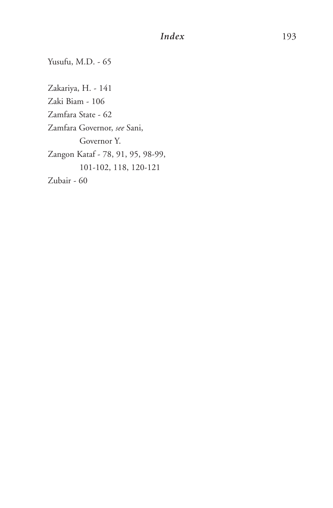## *Index* 193

Yusufu, M.D. - 65

Zakariya, H. - 141 Zaki Biam - 106 Zamfara State - 62 Zamfara Governor, *see* Sani, Governor Y. Zangon Kataf - 78, 91, 95, 98-99, 101-102, 118, 120-121 Zubair - 60